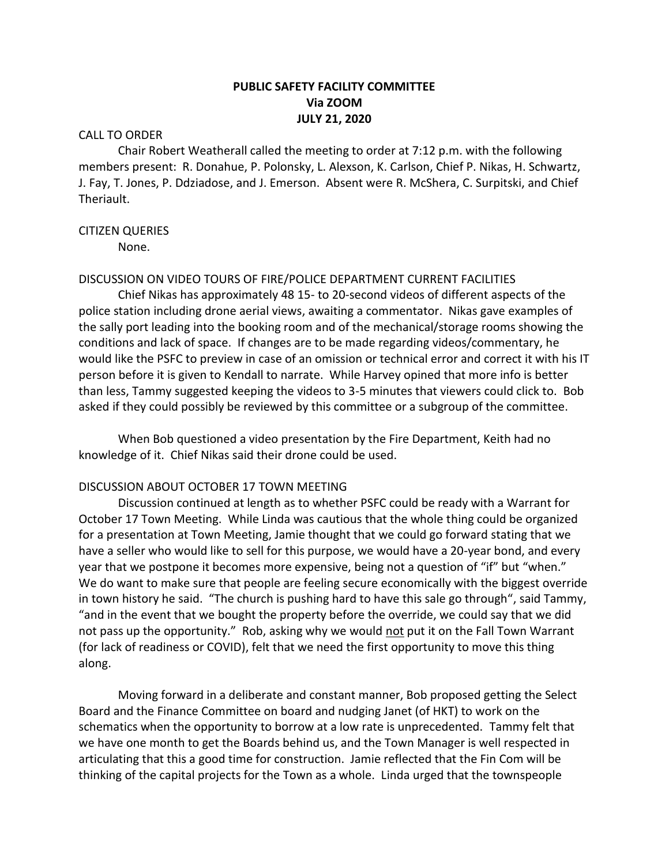### **PUBLIC SAFETY FACILITY COMMITTEE Via ZOOM JULY 21, 2020**

#### CALL TO ORDER

Chair Robert Weatherall called the meeting to order at 7:12 p.m. with the following members present: R. Donahue, P. Polonsky, L. Alexson, K. Carlson, Chief P. Nikas, H. Schwartz, J. Fay, T. Jones, P. Ddziadose, and J. Emerson. Absent were R. McShera, C. Surpitski, and Chief Theriault.

#### CITIZEN QUERIES

None.

### DISCUSSION ON VIDEO TOURS OF FIRE/POLICE DEPARTMENT CURRENT FACILITIES

Chief Nikas has approximately 48 15- to 20-second videos of different aspects of the police station including drone aerial views, awaiting a commentator. Nikas gave examples of the sally port leading into the booking room and of the mechanical/storage rooms showing the conditions and lack of space. If changes are to be made regarding videos/commentary, he would like the PSFC to preview in case of an omission or technical error and correct it with his IT person before it is given to Kendall to narrate. While Harvey opined that more info is better than less, Tammy suggested keeping the videos to 3-5 minutes that viewers could click to. Bob asked if they could possibly be reviewed by this committee or a subgroup of the committee.

When Bob questioned a video presentation by the Fire Department, Keith had no knowledge of it. Chief Nikas said their drone could be used.

#### DISCUSSION ABOUT OCTOBER 17 TOWN MEETING

Discussion continued at length as to whether PSFC could be ready with a Warrant for October 17 Town Meeting. While Linda was cautious that the whole thing could be organized for a presentation at Town Meeting, Jamie thought that we could go forward stating that we have a seller who would like to sell for this purpose, we would have a 20-year bond, and every year that we postpone it becomes more expensive, being not a question of "if" but "when." We do want to make sure that people are feeling secure economically with the biggest override in town history he said. "The church is pushing hard to have this sale go through", said Tammy, "and in the event that we bought the property before the override, we could say that we did not pass up the opportunity." Rob, asking why we would not put it on the Fall Town Warrant (for lack of readiness or COVID), felt that we need the first opportunity to move this thing along.

Moving forward in a deliberate and constant manner, Bob proposed getting the Select Board and the Finance Committee on board and nudging Janet (of HKT) to work on the schematics when the opportunity to borrow at a low rate is unprecedented. Tammy felt that we have one month to get the Boards behind us, and the Town Manager is well respected in articulating that this a good time for construction. Jamie reflected that the Fin Com will be thinking of the capital projects for the Town as a whole. Linda urged that the townspeople